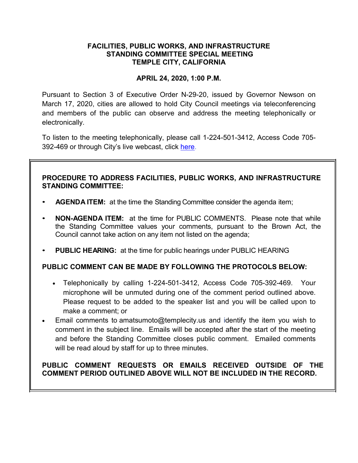## **FACILITIES, PUBLIC WORKS, AND INFRASTRUCTURE STANDING COMMITTEE SPECIAL MEETING TEMPLE CITY, CALIFORNIA**

## **APRIL 24, 2020, 1:00 P.M.**

Pursuant to Section 3 of Executive Order N-29-20, issued by Governor Newson on March 17, 2020, cities are allowed to hold City Council meetings via teleconferencing and members of the public can observe and address the meeting telephonically or electronically.

To listen to the meeting telephonically, please call 1-224-501-3412, Access Code 705- 392-469 or through City's live webcast, click [here.](https://www.ci.temple-city.ca.us/516/Meeting-Webcast)

## **PROCEDURE TO ADDRESS FACILITIES, PUBLIC WORKS, AND INFRASTRUCTURE STANDING COMMITTEE:**

- **AGENDA ITEM:** at the time the Standing Committee consider the agenda item;
- **NON-AGENDA ITEM:** at the time for PUBLIC COMMENTS. Please note that while the Standing Committee values your comments, pursuant to the Brown Act, the Council cannot take action on any item not listed on the agenda;
- **PUBLIC HEARING:** at the time for public hearings under PUBLIC HEARING

### **PUBLIC COMMENT CAN BE MADE BY FOLLOWING THE PROTOCOLS BELOW:**

- Telephonically by calling 1-224-501-3412, Access Code 705-392-469. Your microphone will be unmuted during one of the comment period outlined above. Please request to be added to the speaker list and you will be called upon to make a comment; or
- Email comments to amatsumoto@templecity.us and identify the item you wish to comment in the subject line. Emails will be accepted after the start of the meeting and before the Standing Committee closes public comment. Emailed comments will be read aloud by staff for up to three minutes.

# **PUBLIC COMMENT REQUESTS OR EMAILS RECEIVED OUTSIDE OF THE COMMENT PERIOD OUTLINED ABOVE WILL NOT BE INCLUDED IN THE RECORD.**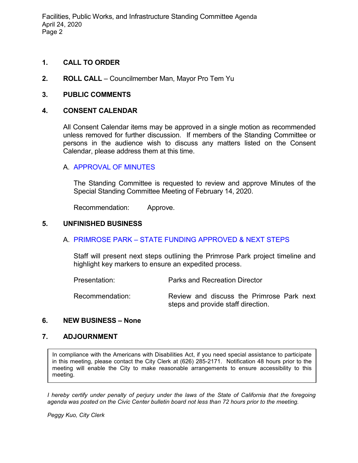Facilities, Public Works, and Infrastructure Standing Committee Agenda April 24, 2020 Page 2

### **1. CALL TO ORDER**

**2. ROLL CALL** – Councilmember Man, Mayor Pro Tem Yu

#### **3. PUBLIC COMMENTS**

#### **4. CONSENT CALENDAR**

All Consent Calendar items may be approved in a single motion as recommended unless removed for further discussion. If members of the Standing Committee or persons in the audience wish to discuss any matters listed on the Consent Calendar, please address them at this time.

#### A. [APPROVAL OF MINUTES](https://ca-templecity.civicplus.com/DocumentCenter/View/14275/2020-02-14-PWSC-minutes)

The Standing Committee is requested to review and approve Minutes of the Special Standing Committee Meeting of February 14, 2020.

Recommendation: Approve.

#### **5. UNFINISHED BUSINESS**

### A. PRIMROSE PARK – [STATE FUNDING APPROVED & NEXT STEPS](https://ca-templecity.civicplus.com/DocumentCenter/View/14274/Staff-Report---Primrose-Park---State-Funding-Approved-and-Next-Steps)

Staff will present next steps outlining the Primrose Park project timeline and highlight key markers to ensure an expedited process.

Presentation: Parks and Recreation Director Recommendation: Review and discuss the Primrose Park next steps and provide staff direction.

#### **6. NEW BUSINESS – None**

#### **7. ADJOURNMENT**

In compliance with the Americans with Disabilities Act, if you need special assistance to participate in this meeting, please contact the City Clerk at (626) 285-2171. Notification 48 hours prior to the meeting will enable the City to make reasonable arrangements to ensure accessibility to this meeting.

*I hereby certify under penalty of perjury under the laws of the State of California that the foregoing agenda was posted on the Civic Center bulletin board not less than 72 hours prior to the meeting.*

*Peggy Kuo, City Clerk*